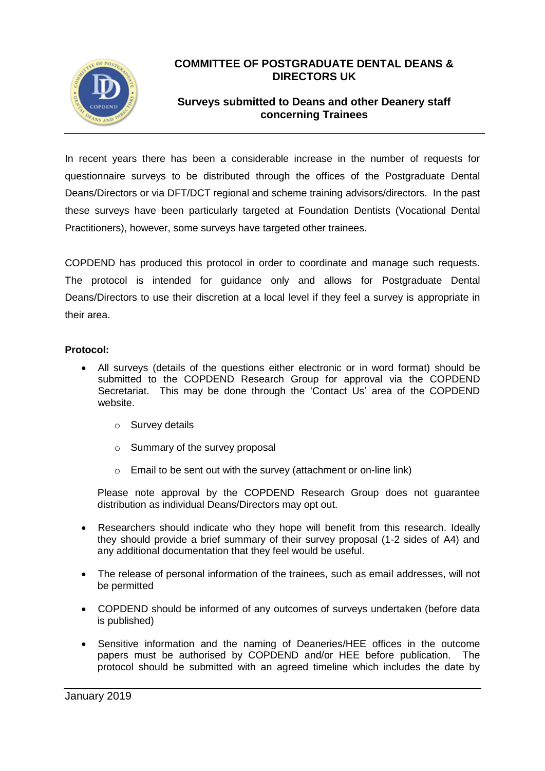

## **COMMITTEE OF POSTGRADUATE DENTAL DEANS & DIRECTORS UK**

## **Surveys submitted to Deans and other Deanery staff concerning Trainees**

In recent years there has been a considerable increase in the number of requests for questionnaire surveys to be distributed through the offices of the Postgraduate Dental Deans/Directors or via DFT/DCT regional and scheme training advisors/directors. In the past these surveys have been particularly targeted at Foundation Dentists (Vocational Dental Practitioners), however, some surveys have targeted other trainees.

COPDEND has produced this protocol in order to coordinate and manage such requests. The protocol is intended for guidance only and allows for Postgraduate Dental Deans/Directors to use their discretion at a local level if they feel a survey is appropriate in their area.

## **Protocol:**

- All surveys (details of the questions either electronic or in word format) should be submitted to the COPDEND Research Group for approval via the COPDEND Secretariat. This may be done through the 'Contact Us' area of the COPDEND website.
	- o Survey details
	- o Summary of the survey proposal
	- $\circ$  Email to be sent out with the survey (attachment or on-line link)

Please note approval by the COPDEND Research Group does not guarantee distribution as individual Deans/Directors may opt out.

- Researchers should indicate who they hope will benefit from this research. Ideally they should provide a brief summary of their survey proposal (1-2 sides of A4) and any additional documentation that they feel would be useful.
- The release of personal information of the trainees, such as email addresses, will not be permitted
- COPDEND should be informed of any outcomes of surveys undertaken (before data is published)
- Sensitive information and the naming of Deaneries/HEE offices in the outcome papers must be authorised by COPDEND and/or HEE before publication. The protocol should be submitted with an agreed timeline which includes the date by